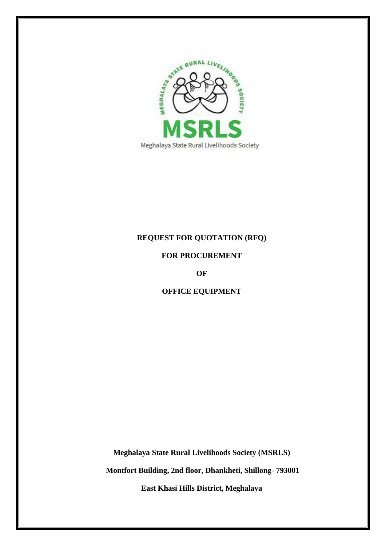

## **REQUEST FOR QUOTATION (RFQ)**

## **FOR PROCUREMENT**

**OF**

# **OFFICE EQUIPMENT**

**Meghalaya State Rural Livelihoods Society (MSRLS)**

**Montfort Building, 2nd floor, Dhankheti, Shillong- 793001**

**East Khasi Hills District, Meghalaya**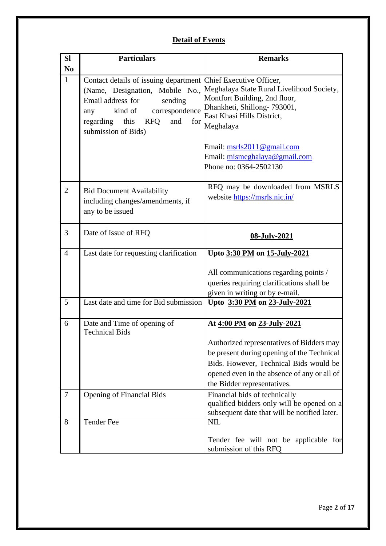# **Detail of Events**

| <b>SI</b>      | <b>Particulars</b>                                                                                                                                                                         | <b>Remarks</b>                                                                                                                                                                                                  |
|----------------|--------------------------------------------------------------------------------------------------------------------------------------------------------------------------------------------|-----------------------------------------------------------------------------------------------------------------------------------------------------------------------------------------------------------------|
| N <sub>0</sub> |                                                                                                                                                                                            |                                                                                                                                                                                                                 |
| $\mathbf{1}$   | Contact details of issuing department Chief Executive Officer,<br>Email address for<br>sending<br>kind of correspondence<br>any<br>regarding this RFQ<br>and<br>for<br>submission of Bids) | (Name, Designation, Mobile No., Meghalaya State Rural Livelihood Society,<br>Montfort Building, 2nd floor,<br>Dhankheti, Shillong- 793001,<br>East Khasi Hills District,<br>Meghalaya                           |
|                |                                                                                                                                                                                            | Email: msrls2011@gmail.com<br>Email: mismeghalaya@gmail.com<br>Phone no: 0364-2502130                                                                                                                           |
| $\overline{2}$ | <b>Bid Document Availability</b><br>including changes/amendments, if<br>any to be issued                                                                                                   | RFQ may be downloaded from MSRLS<br>website https://msrls.nic.in/                                                                                                                                               |
| 3              | Date of Issue of RFQ                                                                                                                                                                       | 08-July-2021                                                                                                                                                                                                    |
| $\overline{4}$ | Last date for requesting clarification                                                                                                                                                     | Upto 3:30 PM on 15-July-2021                                                                                                                                                                                    |
|                |                                                                                                                                                                                            | All communications regarding points /<br>queries requiring clarifications shall be<br>given in writing or by e-mail.                                                                                            |
| 5              | Last date and time for Bid submission                                                                                                                                                      | Upto 3:30 PM on 23-July-2021                                                                                                                                                                                    |
| 6              | Date and Time of opening of<br><b>Technical Bids</b>                                                                                                                                       | At 4:00 PM on 23-July-2021                                                                                                                                                                                      |
|                |                                                                                                                                                                                            | Authorized representatives of Bidders may<br>be present during opening of the Technical<br>Bids. However, Technical Bids would be<br>opened even in the absence of any or all of<br>the Bidder representatives. |
| $\overline{7}$ | <b>Opening of Financial Bids</b>                                                                                                                                                           | Financial bids of technically<br>qualified bidders only will be opened on a<br>subsequent date that will be notified later.                                                                                     |
| 8              | <b>Tender Fee</b>                                                                                                                                                                          | <b>NIL</b><br>Tender fee will not be applicable for<br>submission of this RFQ                                                                                                                                   |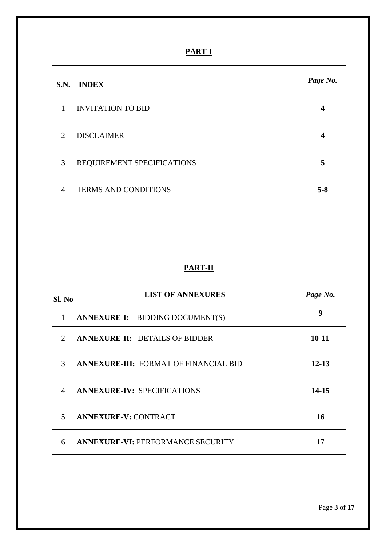# **PART-I**

| S.N.                        | <b>INDEX</b>                | Page No. |
|-----------------------------|-----------------------------|----------|
| 1                           | <b>INVITATION TO BID</b>    | 4        |
| $\mathcal{D}_{\mathcal{L}}$ | <b>DISCLAIMER</b>           | 4        |
| 3                           | REQUIREMENT SPECIFICATIONS  | 5        |
| $\overline{A}$              | <b>TERMS AND CONDITIONS</b> | $5 - 8$  |

# **PART-II**

| SI. No                      | <b>LIST OF ANNEXURES</b>                     | Page No.  |
|-----------------------------|----------------------------------------------|-----------|
| 1                           | ANNEXURE-I: BIDDING DOCUMENT(S)              | 9         |
| $\mathcal{D}_{\mathcal{L}}$ | <b>ANNEXURE-II: DETAILS OF BIDDER</b>        | $10 - 11$ |
| 3                           | <b>ANNEXURE-III: FORMAT OF FINANCIAL BID</b> | $12 - 13$ |
| $\overline{4}$              | <b>ANNEXURE-IV: SPECIFICATIONS</b>           | 14-15     |
| $\overline{5}$              | <b>ANNEXURE-V: CONTRACT</b>                  | 16        |
| 6                           | <b>ANNEXURE-VI: PERFORMANCE SECURITY</b>     | 17        |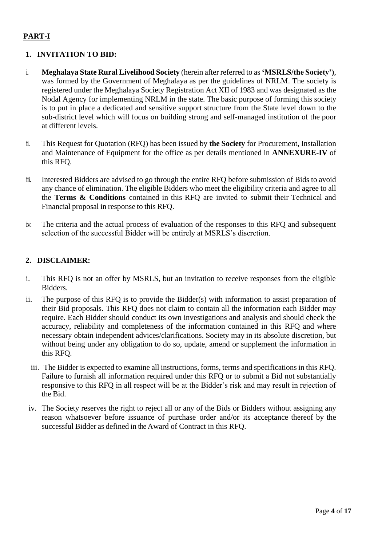# **PART-I**

## <span id="page-3-0"></span>**1. INVITATION TO BID:**

- i. **Meghalaya State Rural Livelihood Society** (herein after referred to as **'MSRLS/the Society')**, was formed by the Government of Meghalaya as per the guidelines of NRLM. The society is registered under the Meghalaya Society Registration Act XII of 1983 and was designated as the Nodal Agency for implementing NRLM in the state. The basic purpose of forming this society is to put in place a dedicated and sensitive support structure from the State level down to the sub-district level which will focus on building strong and self-managed institution of the poor at different levels.
- ii. This Request for Quotation (RFQ) has been issued by **the Society** for Procurement, Installation and Maintenance of Equipment for the office as per details mentioned in **ANNEXURE-IV** of this RFQ.
- iii. Interested Bidders are advised to go through the entire RFQ before submission of Bids to avoid any chance of elimination. The eligible Bidders who meet the eligibility criteria and agree to all the **Terms & Conditions** contained in this RFQ are invited to submit their Technical and Financial proposal in response to this RFQ.
- iv. The criteria and the actual process of evaluation of the responses to this RFQ and subsequent selection of the successful Bidder will be entirely at MSRLS's discretion.

## <span id="page-3-1"></span>**2. DISCLAIMER:**

- i. This RFQ is not an offer by MSRLS, but an invitation to receive responses from the eligible Bidders.
- ii. The purpose of this RFQ is to provide the Bidder(s) with information to assist preparation of their Bid proposals. This RFQ does not claim to contain all the information each Bidder may require. Each Bidder should conduct its own investigations and analysis and should check the accuracy, reliability and completeness of the information contained in this RFQ and where necessary obtain independent advices/clarifications. Society may in its absolute discretion, but without being under any obligation to do so, update, amend or supplement the information in this RFQ.
	- iii. The Bidder is expected to examine all instructions, forms, terms and specifications in this RFQ. Failure to furnish all information required under this RFQ or to submit a Bid not substantially responsive to this RFQ in all respect will be at the Bidder's risk and may result in rejection of the Bid.
- iv. The Society reserves the right to reject all or any of the Bids or Bidders without assigning any reason whatsoever before issuance of purchase order and/or its acceptance thereof by the successful Bidder as defined in the Award of Contract in this RFQ.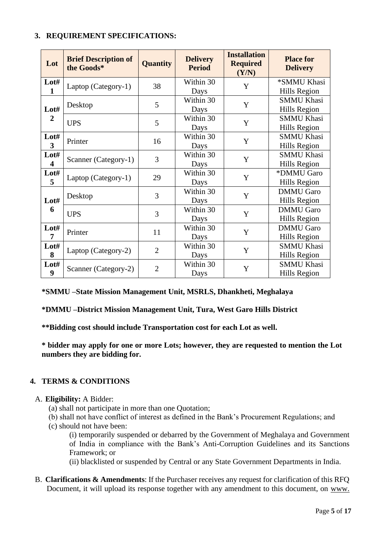### <span id="page-4-0"></span>**3. REQUIREMENT SPECIFICATIONS:**

| Lot                             | <b>Brief Description of</b><br>the Goods* | <b>Quantity</b> | <b>Delivery</b><br><b>Period</b> | <b>Installation</b><br><b>Required</b><br>(Y/N) | <b>Place for</b><br><b>Delivery</b>     |
|---------------------------------|-------------------------------------------|-----------------|----------------------------------|-------------------------------------------------|-----------------------------------------|
| Lot#<br>$\mathbf{1}$            | Laptop (Category-1)                       | 38              | Within 30<br>Days                | Y                                               | *SMMU Khasi<br>Hills Region             |
| Lot#                            | Desktop                                   | 5               | Within 30<br>Days                | Y                                               | <b>SMMU Khasi</b><br>Hills Region       |
| $\overline{2}$                  | <b>UPS</b>                                | 5               | Within 30<br>Days                | Y                                               | <b>SMMU Khasi</b><br>Hills Region       |
| Lot#<br>3                       | Printer                                   | 16              | Within 30<br>Days                | Y                                               | <b>SMMU Khasi</b><br>Hills Region       |
| Lot#<br>$\overline{\mathbf{4}}$ | Scanner (Category-1)                      | 3               | Within 30<br>Days                | Y                                               | <b>SMMU Khasi</b><br>Hills Region       |
| Lot#<br>5                       | Laptop (Category-1)                       | 29              | Within 30<br>Days                | Y                                               | *DMMU Garo<br>Hills Region              |
| Lot#                            | Desktop                                   | 3               | Within 30<br>Days                | Y                                               | <b>DMMU</b> Garo<br><b>Hills Region</b> |
| 6                               | <b>UPS</b>                                | 3               | Within 30<br>Days                | Y                                               | <b>DMMU</b> Garo<br>Hills Region        |
| Lot#<br>7                       | Printer                                   | 11              | Within 30<br>Days                | Y                                               | <b>DMMU</b> Garo<br>Hills Region        |
| Lot#<br>8                       | Laptop (Category-2)                       | $\overline{2}$  | Within 30<br>Days                | Y                                               | <b>SMMU Khasi</b><br>Hills Region       |
| Lot#<br>9                       | Scanner (Category-2)                      | $\overline{2}$  | Within 30<br>Days                | $\mathbf Y$                                     | <b>SMMU Khasi</b><br>Hills Region       |

## **\*SMMU –State Mission Management Unit, MSRLS, Dhankheti, Meghalaya**

**\*DMMU –District Mission Management Unit, Tura, West Garo Hills District**

**\*\*Bidding cost should include Transportation cost for each Lot as well.**

**\* bidder may apply for one or more Lots; however, they are requested to mention the Lot numbers they are bidding for.** 

## <span id="page-4-1"></span>**4. TERMS & CONDITIONS**

#### A. **Eligibility:** A Bidder:

- (a) shall not participate in more than one Quotation;
- (b) shall not have conflict of interest as defined in the Bank's Procurement Regulations; and
- (c) should not have been:

(i) temporarily suspended or debarred by the Government of Meghalaya and Government of India in compliance with the Bank's Anti-Corruption Guidelines and its Sanctions Framework; or

(ii) blacklisted or suspended by Central or any State Government Departments in India.

B. **Clarifications & Amendments**: If the Purchaser receives any request for clarification of this RFQ Document, it will upload its response together with any amendment to this document, on www.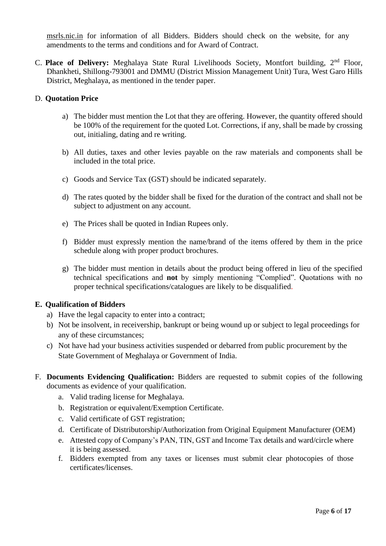msrls.nic.in for information of all Bidders. Bidders should check on the website, for any amendments to the terms and conditions and for Award of Contract.

C. **Place of Delivery:** Meghalaya State Rural Livelihoods Society, Montfort building, 2nd Floor, Dhankheti, Shillong-793001 and DMMU (District Mission Management Unit) Tura, West Garo Hills District, Meghalaya, as mentioned in the tender paper.

### D. **Quotation Price**

- a) The bidder must mention the Lot that they are offering. However, the quantity offered should be 100% of the requirement for the quoted Lot. Corrections, if any, shall be made by crossing out, initialing, dating and re writing.
- b) All duties, taxes and other levies payable on the raw materials and components shall be included in the total price.
- c) Goods and Service Tax (GST) should be indicated separately.
- d) The rates quoted by the bidder shall be fixed for the duration of the contract and shall not be subject to adjustment on any account.
- e) The Prices shall be quoted in Indian Rupees only.
- f) Bidder must expressly mention the name/brand of the items offered by them in the price schedule along with proper product brochures.
- g) The bidder must mention in details about the product being offered in lieu of the specified technical specifications and **not** by simply mentioning "Complied". Quotations with no proper technical specifications/catalogues are likely to be disqualified.

#### **E. Qualification of Bidders**

- a) Have the legal capacity to enter into a contract;
- b) Not be insolvent, in receivership, bankrupt or being wound up or subject to legal proceedings for any of these circumstances;
- c) Not have had your business activities suspended or debarred from public procurement by the State Government of Meghalaya or Government of India.
- F. **Documents Evidencing Qualification:** Bidders are requested to submit copies of the following documents as evidence of your qualification.
	- a. Valid trading license for Meghalaya.
	- b. Registration or equivalent/Exemption Certificate.
	- c. Valid certificate of GST registration;
	- d. Certificate of Distributorship/Authorization from Original Equipment Manufacturer (OEM)
	- e. Attested copy of Company's PAN, TIN, GST and Income Tax details and ward/circle where it is being assessed.
	- f. Bidders exempted from any taxes or licenses must submit clear photocopies of those certificates/licenses.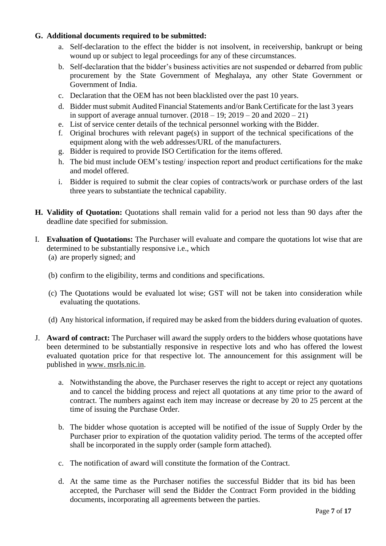## **G. Additional documents required to be submitted:**

- a. Self-declaration to the effect the bidder is not insolvent, in receivership, bankrupt or being wound up or subject to legal proceedings for any of these circumstances.
- b. Self-declaration that the bidder's business activities are not suspended or debarred from public procurement by the State Government of Meghalaya, any other State Government or Government of India.
- c. Declaration that the OEM has not been blacklisted over the past 10 years.
- d. Bidder must submit Audited Financial Statements and/or Bank Certificate for the last 3 years in support of average annual turnover.  $(2018 - 19; 2019 - 20$  and  $2020 - 21)$
- e. List of service center details of the technical personnel working with the Bidder.
- f. Original brochures with relevant page(s) in support of the technical specifications of the equipment along with the web addresses/URL of the manufacturers.
- g. Bidder is required to provide ISO Certification for the items offered.
- h. The bid must include OEM's testing/ inspection report and product certifications for the make and model offered.
- i. Bidder is required to submit the clear copies of contracts/work or purchase orders of the last three years to substantiate the technical capability.
- **H. Validity of Quotation:** Quotations shall remain valid for a period not less than 90 days after the deadline date specified for submission.
- I. **Evaluation of Quotations:** The Purchaser will evaluate and compare the quotations lot wise that are determined to be substantially responsive i.e., which (a) are properly signed; and
	- (b) confirm to the eligibility, terms and conditions and specifications.
	- (c) The Quotations would be evaluated lot wise; GST will not be taken into consideration while evaluating the quotations.
	- (d) Any historical information, if required may be asked from the bidders during evaluation of quotes.
- J. **Award of contract:** The Purchaser will award the supply orders to the bidders whose quotations have been determined to be substantially responsive in respective lots and who has offered the lowest evaluated quotation price for that respective lot. The announcement for this assignment will be published in www. msrls.nic.in.
	- a. Notwithstanding the above, the Purchaser reserves the right to accept or reject any quotations and to cancel the bidding process and reject all quotations at any time prior to the award of contract. The numbers against each item may increase or decrease by 20 to 25 percent at the time of issuing the Purchase Order.
	- b. The bidder whose quotation is accepted will be notified of the issue of Supply Order by the Purchaser prior to expiration of the quotation validity period. The terms of the accepted offer shall be incorporated in the supply order (sample form attached).
	- c. The notification of award will constitute the formation of the Contract.
	- d. At the same time as the Purchaser notifies the successful Bidder that its bid has been accepted, the Purchaser will send the Bidder the Contract Form provided in the bidding documents, incorporating all agreements between the parties.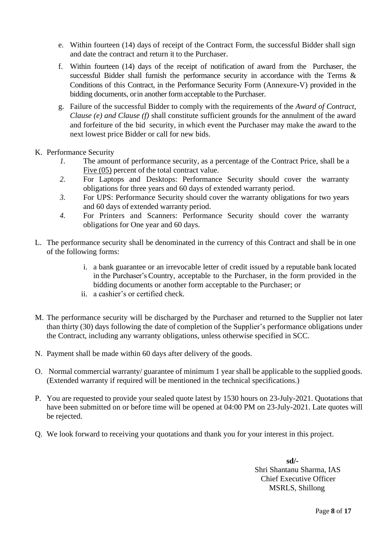- e. Within fourteen (14) days of receipt of the Contract Form, the successful Bidder shall sign and date the contract and return it to the Purchaser.
- f. Within fourteen (14) days of the receipt of notification of award from the Purchaser, the successful Bidder shall furnish the performance security in accordance with the Terms & Conditions of this Contract, in the Performance Security Form (Annexure-V) provided in the bidding documents, orin another formacceptable to the Purchaser.
- g. Failure of the successful Bidder to comply with the requirements of the *Award of Contract, Clause (e) and Clause (f)* shall constitute sufficient grounds for the annulment of the award and forfeiture of the bid security, in which event the Purchaser may make the award to the next lowest price Bidder or call for new bids.
- K. Performance Security
	- *1.* The amount of performance security, as a percentage of the Contract Price, shall be a Five (05) percent of the total contract value.
	- *2.* For Laptops and Desktops: Performance Security should cover the warranty obligations for three years and 60 days of extended warranty period.
	- *3.* For UPS: Performance Security should cover the warranty obligations for two years and 60 days of extended warranty period.
	- *4.* For Printers and Scanners: Performance Security should cover the warranty obligations for One year and 60 days.
- L. The performance security shall be denominated in the currency of this Contract and shall be in one of the following forms:
	- i. a bank guarantee or an irrevocable letter of credit issued by a reputable bank located in the Purchaser's Country, acceptable to the Purchaser, in the form provided in the bidding documents or another form acceptable to the Purchaser; or
	- ii. a cashier's or certified check.
- M. The performance security will be discharged by the Purchaser and returned to the Supplier not later than thirty (30) days following the date of completion of the Supplier's performance obligations under the Contract, including any warranty obligations, unless otherwise specified in SCC.
- N. Payment shall be made within 60 days after delivery of the goods.
- O. Normal commercial warranty/ guarantee of minimum 1 year shall be applicable to the supplied goods. (Extended warranty if required will be mentioned in the technical specifications.)
- P. You are requested to provide your sealed quote latest by 1530 hours on 23-July-2021. Quotations that have been submitted on or before time will be opened at 04:00 PM on 23-July-2021. Late quotes will be rejected.
- Q. We look forward to receiving your quotations and thank you for your interest in this project.

 **sd/-** Shri Shantanu Sharma, IAS Chief Executive Officer MSRLS, Shillong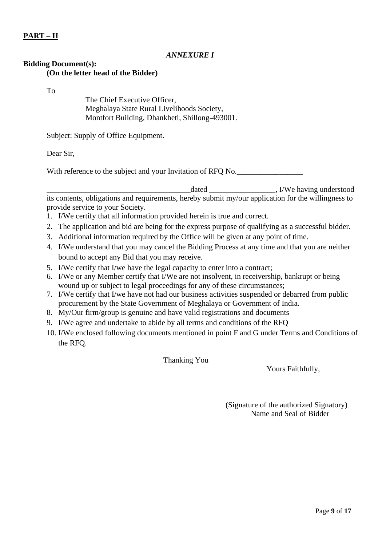## **PART – II**

### *ANNEXURE I*

#### <span id="page-8-0"></span>**Bidding Document(s): (On the letter head of the Bidder)**

To

The Chief Executive Officer, Meghalaya State Rural Livelihoods Society, Montfort Building, Dhankheti, Shillong-493001.

Subject: Supply of Office Equipment.

Dear Sir,

With reference to the subject and your Invitation of RFQ No.

\_\_\_\_\_\_\_\_\_\_\_\_\_\_\_\_\_\_\_\_\_\_\_\_\_\_\_\_\_\_\_\_\_\_\_\_\_dated \_\_\_\_\_\_\_\_\_\_\_\_\_\_\_\_\_, I/We having understood its contents, obligations and requirements, hereby submit my/our application for the willingness to provide service to your Society.

- 1. I/We certify that all information provided herein is true and correct.
- 2. The application and bid are being for the express purpose of qualifying as a successful bidder.
- 3. Additional information required by the Office will be given at any point of time.
- 4. I/We understand that you may cancel the Bidding Process at any time and that you are neither bound to accept any Bid that you may receive.
- 5. I/We certify that I/we have the legal capacity to enter into a contract;
- 6. I/We or any Member certify that I/We are not insolvent, in receivership, bankrupt or being wound up or subject to legal proceedings for any of these circumstances;
- 7. I/We certify that I/we have not had our business activities suspended or debarred from public procurement by the State Government of Meghalaya or Government of India.
- 8. My/Our firm/group is genuine and have valid registrations and documents
- 9. I/We agree and undertake to abide by all terms and conditions of the RFQ
- 10. I/We enclosed following documents mentioned in point F and G under Terms and Conditions of the RFQ.

Thanking You

Yours Faithfully,

 (Signature of the authorized Signatory) Name and Seal of Bidder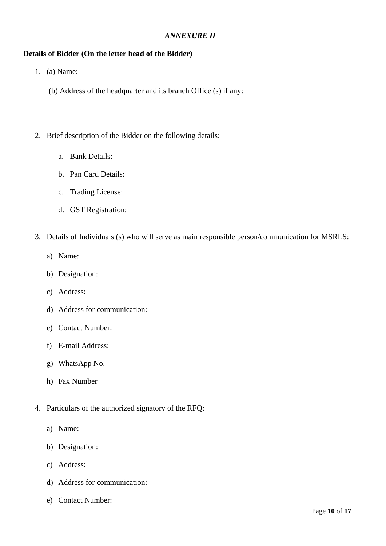### *ANNEXURE II*

### <span id="page-9-0"></span>**Details of Bidder (On the letter head of the Bidder)**

- 1. (a) Name:
	- (b) Address of the headquarter and its branch Office (s) if any:
- 2. Brief description of the Bidder on the following details:
	- a. Bank Details:
	- b. Pan Card Details:
	- c. Trading License:
	- d. GST Registration:
- 3. Details of Individuals (s) who will serve as main responsible person/communication for MSRLS:
	- a) Name:
	- b) Designation:
	- c) Address:
	- d) Address for communication:
	- e) Contact Number:
	- f) E-mail Address:
	- g) WhatsApp No.
	- h) Fax Number
- 4. Particulars of the authorized signatory of the RFQ:
	- a) Name:
	- b) Designation:
	- c) Address:
	- d) Address for communication:
	- e) Contact Number: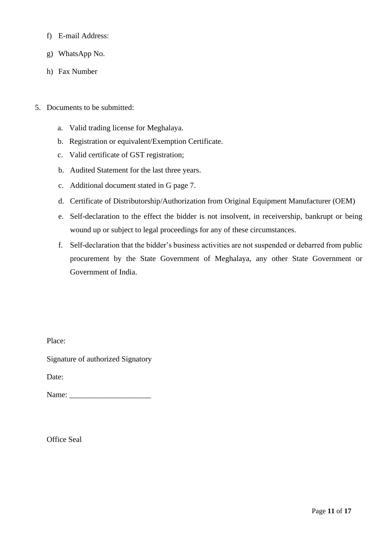- f) E-mail Address:
- g) WhatsApp No.
- h) Fax Number
- 5. Documents to be submitted:
	- a. Valid trading license for Meghalaya.
	- b. Registration or equivalent/Exemption Certificate.
	- c. Valid certificate of GST registration;
	- b. Audited Statement for the last three years.
	- c. Additional document stated in G page 7.
	- d. Certificate of Distributorship/Authorization from Original Equipment Manufacturer (OEM)
	- e. Self-declaration to the effect the bidder is not insolvent, in receivership, bankrupt or being wound up or subject to legal proceedings for any of these circumstances.
	- f. Self-declaration that the bidder's business activities are not suspended or debarred from public procurement by the State Government of Meghalaya, any other State Government or Government of India.

Place:

Signature of authorized Signatory

Date:

Name:

Office Seal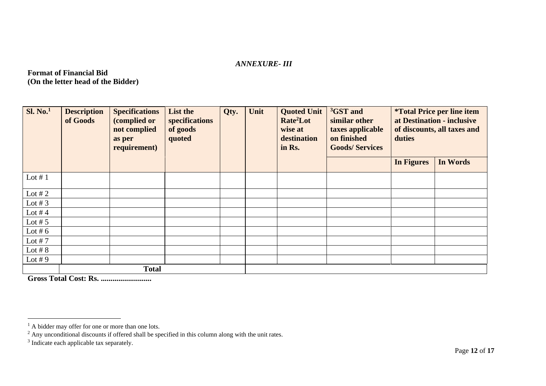#### *ANNEXURE- III*

**Format of Financial Bid (On the letter head of the Bidder)**

| <b>Sl. No.</b> <sup>1</sup> | <b>Description</b><br>of Goods | <b>Specifications</b><br>(complied or<br>not complied<br>as per<br>requirement) | List the<br>specifications<br>of goods<br>quoted | Qty. | Unit | <b>Quoted Unit</b><br>Rate <sup>2</sup> Lot<br>wise at<br>destination<br>in Rs. | <sup>3</sup> GST and<br>similar other<br>taxes applicable<br>on finished<br><b>Goods/Services</b> | <i><b>*Total Price per line item</b></i><br>at Destination - inclusive<br>of discounts, all taxes and<br>duties |          |
|-----------------------------|--------------------------------|---------------------------------------------------------------------------------|--------------------------------------------------|------|------|---------------------------------------------------------------------------------|---------------------------------------------------------------------------------------------------|-----------------------------------------------------------------------------------------------------------------|----------|
|                             |                                |                                                                                 |                                                  |      |      |                                                                                 |                                                                                                   | <b>In Figures</b>                                                                                               | In Words |
| Lot $# 1$                   |                                |                                                                                 |                                                  |      |      |                                                                                 |                                                                                                   |                                                                                                                 |          |
| Lot #2                      |                                |                                                                                 |                                                  |      |      |                                                                                 |                                                                                                   |                                                                                                                 |          |
| Lot # $3$                   |                                |                                                                                 |                                                  |      |      |                                                                                 |                                                                                                   |                                                                                                                 |          |
| Lot #4                      |                                |                                                                                 |                                                  |      |      |                                                                                 |                                                                                                   |                                                                                                                 |          |
| Lot # $5$                   |                                |                                                                                 |                                                  |      |      |                                                                                 |                                                                                                   |                                                                                                                 |          |
| Lot # $6$                   |                                |                                                                                 |                                                  |      |      |                                                                                 |                                                                                                   |                                                                                                                 |          |
| Lot #7                      |                                |                                                                                 |                                                  |      |      |                                                                                 |                                                                                                   |                                                                                                                 |          |
| Lot # $8$                   |                                |                                                                                 |                                                  |      |      |                                                                                 |                                                                                                   |                                                                                                                 |          |
| Lot #9                      |                                |                                                                                 |                                                  |      |      |                                                                                 |                                                                                                   |                                                                                                                 |          |
|                             | <b>Total</b>                   |                                                                                 |                                                  |      |      |                                                                                 |                                                                                                   |                                                                                                                 |          |

<span id="page-11-0"></span>**Gross Total Cost: Rs. ..........................**

 $<sup>1</sup>$  A bidder may offer for one or more than one lots.</sup>

 $2$  Any unconditional discounts if offered shall be specified in this column along with the unit rates.

<sup>&</sup>lt;sup>3</sup> Indicate each applicable tax separately.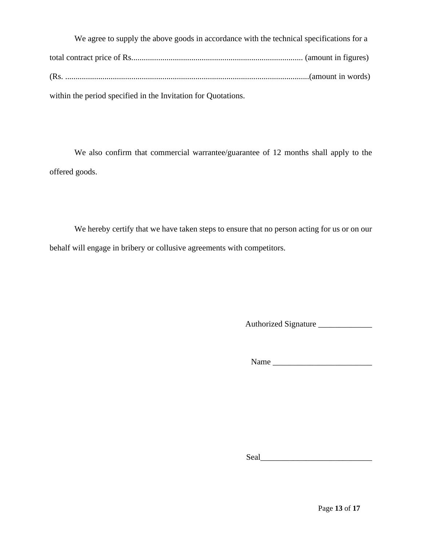We agree to supply the above goods in accordance with the technical specifications for a total contract price of Rs................................................................................... (amount in figures) (Rs. ......................................................................................................................(amount in words) within the period specified in the Invitation for Quotations.

We also confirm that commercial warrantee/guarantee of 12 months shall apply to the offered goods.

We hereby certify that we have taken steps to ensure that no person acting for us or on our behalf will engage in bribery or collusive agreements with competitors.

Authorized Signature \_\_\_\_\_\_\_\_\_\_\_\_\_

Name \_\_\_\_\_\_\_\_\_\_\_\_\_\_\_\_\_\_\_\_\_\_\_\_

Seal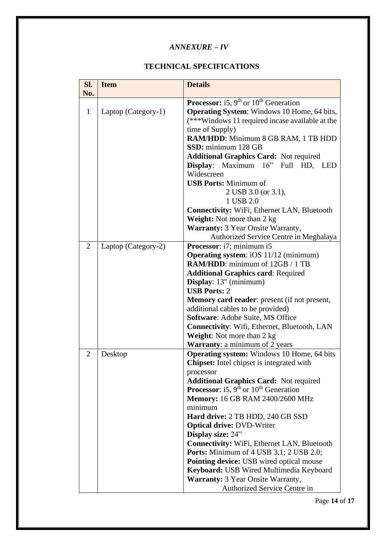# *ANNEXURE – IV*

## **TECHNICAL SPECIFICATIONS**

<span id="page-13-0"></span>

| Sl.            | <b>Item</b>         | <b>Details</b>                                                        |  |  |  |
|----------------|---------------------|-----------------------------------------------------------------------|--|--|--|
| No.            |                     |                                                                       |  |  |  |
|                |                     | <b>Processor:</b> i5, $9th$ or $10th$ Generation                      |  |  |  |
| $\mathbf{1}$   | Laptop (Category-1) | <b>Operating System:</b> Windows 10 Home, 64 bits,                    |  |  |  |
|                |                     | (***Windows 11 required incase available at the                       |  |  |  |
|                |                     | time of Supply)                                                       |  |  |  |
|                |                     | RAM/HDD: Minimum 8 GB RAM, 1 TB HDD                                   |  |  |  |
|                |                     | SSD: minimum 128 GB                                                   |  |  |  |
|                |                     | <b>Additional Graphics Card: Not required</b>                         |  |  |  |
|                |                     | Display: Maximum 16" Full HD, LED                                     |  |  |  |
|                |                     | Widescreen                                                            |  |  |  |
|                |                     | <b>USB Ports: Minimum of</b>                                          |  |  |  |
|                |                     | 2 USB 3.0 (or 3.1),                                                   |  |  |  |
|                |                     | 1 USB 2.0                                                             |  |  |  |
|                |                     | <b>Connectivity:</b> WiFi, Ethernet LAN, Bluetooth                    |  |  |  |
|                |                     | <b>Weight:</b> Not more than 2 kg                                     |  |  |  |
|                |                     | <b>Warranty: 3 Year Onsite Warranty,</b>                              |  |  |  |
|                |                     | Authorized Service Centre in Meghalaya                                |  |  |  |
| $\overline{2}$ | Laptop (Category-2) | Processor: i7; minimum i5                                             |  |  |  |
|                |                     | <b>Operating system:</b> iOS 11/12 (minimum)                          |  |  |  |
|                |                     | <b>RAM/HDD:</b> minimum of 12GB / 1 TB                                |  |  |  |
|                |                     | <b>Additional Graphics card: Required</b>                             |  |  |  |
|                |                     | Display: 13" (minimum)                                                |  |  |  |
|                |                     | <b>USB Ports: 2</b>                                                   |  |  |  |
|                |                     | <b>Memory card reader:</b> present (if not present,                   |  |  |  |
|                |                     | additional cables to be provided)<br>Software: Adobe Suite, MS Office |  |  |  |
|                |                     | <b>Connectivity:</b> Wifi, Ethernet, Bluetooth, LAN                   |  |  |  |
|                |                     | <b>Weight:</b> Not more than 2 kg                                     |  |  |  |
|                |                     | <b>Warranty:</b> a minimum of 2 years                                 |  |  |  |
| $\overline{2}$ | Desktop             | <b>Operating system:</b> Windows 10 Home, 64 bits                     |  |  |  |
|                |                     | <b>Chipset:</b> Intel chipset is integrated with                      |  |  |  |
|                |                     | processor                                                             |  |  |  |
|                |                     | <b>Additional Graphics Card:</b> Not required                         |  |  |  |
|                |                     | <b>Processor</b> : i5, $9th$ or $10th$ Generation                     |  |  |  |
|                |                     | Memory: 16 GB RAM 2400/2600 MHz                                       |  |  |  |
|                |                     | minimum                                                               |  |  |  |
|                |                     | Hard drive: 2 TB HDD, 240 GB SSD                                      |  |  |  |
|                |                     | <b>Optical drive: DVD-Writer</b>                                      |  |  |  |
|                |                     | Display size: 24"                                                     |  |  |  |
|                |                     | <b>Connectivity:</b> WiFi, Ethernet LAN, Bluetooth                    |  |  |  |
|                |                     | <b>Ports:</b> Minimum of 4 USB 3.1; 2 USB 2.0;                        |  |  |  |
|                |                     | <b>Pointing device:</b> USB wired optical mouse                       |  |  |  |
|                |                     | Keyboard: USB Wired Multimedia Keyboard                               |  |  |  |
|                |                     | <b>Warranty:</b> 3 Year Onsite Warranty,                              |  |  |  |
|                |                     | Authorized Service Centre in                                          |  |  |  |

Page **14** of **17**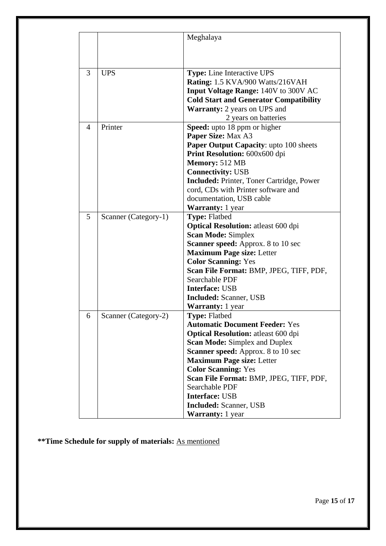|   |                      | Meghalaya                                        |
|---|----------------------|--------------------------------------------------|
|   |                      |                                                  |
|   |                      |                                                  |
| 3 | <b>UPS</b>           | <b>Type:</b> Line Interactive UPS                |
|   |                      | Rating: 1.5 KVA/900 Watts/216VAH                 |
|   |                      | <b>Input Voltage Range: 140V to 300V AC</b>      |
|   |                      | <b>Cold Start and Generator Compatibility</b>    |
|   |                      | <b>Warranty:</b> 2 years on UPS and              |
|   |                      | 2 years on batteries                             |
| 4 | Printer              | Speed: upto 18 ppm or higher                     |
|   |                      | Paper Size: Max A3                               |
|   |                      | <b>Paper Output Capacity:</b> upto 100 sheets    |
|   |                      | Print Resolution: 600x600 dpi                    |
|   |                      | Memory: 512 MB                                   |
|   |                      | <b>Connectivity: USB</b>                         |
|   |                      | <b>Included: Printer, Toner Cartridge, Power</b> |
|   |                      | cord, CDs with Printer software and              |
|   |                      | documentation, USB cable                         |
|   |                      | <b>Warranty:</b> 1 year                          |
| 5 | Scanner (Category-1) | <b>Type: Flatbed</b>                             |
|   |                      | <b>Optical Resolution:</b> atleast 600 dpi       |
|   |                      | <b>Scan Mode: Simplex</b>                        |
|   |                      | <b>Scanner speed:</b> Approx. 8 to 10 sec        |
|   |                      | <b>Maximum Page size: Letter</b>                 |
|   |                      | <b>Color Scanning: Yes</b>                       |
|   |                      | Scan File Format: BMP, JPEG, TIFF, PDF,          |
|   |                      | <b>Searchable PDF</b>                            |
|   |                      | <b>Interface: USB</b>                            |
|   |                      | <b>Included:</b> Scanner, USB                    |
|   |                      | <b>Warranty:</b> 1 year                          |
| 6 | Scanner (Category-2) | <b>Type: Flatbed</b>                             |
|   |                      | <b>Automatic Document Feeder: Yes</b>            |
|   |                      | <b>Optical Resolution:</b> atleast 600 dpi       |
|   |                      | <b>Scan Mode: Simplex and Duplex</b>             |
|   |                      | <b>Scanner speed:</b> Approx. 8 to 10 sec        |
|   |                      | <b>Maximum Page size: Letter</b>                 |
|   |                      | <b>Color Scanning: Yes</b>                       |
|   |                      | Scan File Format: BMP, JPEG, TIFF, PDF,          |
|   |                      | Searchable PDF                                   |
|   |                      | <b>Interface: USB</b>                            |
|   |                      | <b>Included:</b> Scanner, USB                    |
|   |                      | Warranty: 1 year                                 |

**\*\*Time Schedule for supply of materials:** As mentioned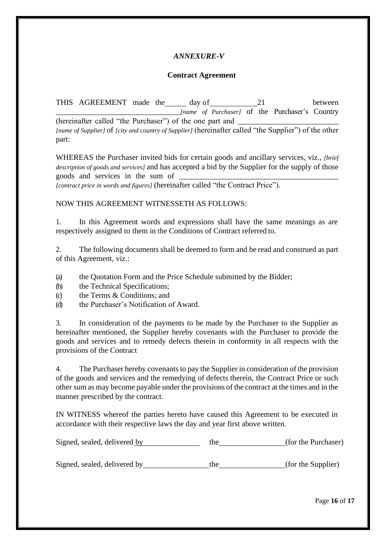## *ANNEXURE-V*

#### **Contract Agreement**

<span id="page-15-0"></span>THIS AGREEMENT made the day of 21 between \_\_\_\_\_\_\_\_\_\_\_\_\_\_\_\_\_\_\_\_\_\_\_\_\_\_\_\_\_\_\_\_*[name of Purchaser]* of the Purchaser's Country (hereinafter called "the Purchaser") of the one part and *[name of Supplier]* of *[city and country of Supplier]* (hereinafter called "the Supplier") of the other part:

WHEREAS the Purchaser invited bids for certain goods and ancillary services, viz., *[brief description of goods and services]* and has accepted a bid by the Supplier for the supply of those goods and services in the sum of \_\_\_\_\_\_\_\_\_\_\_\_\_\_\_\_\_\_\_\_\_\_\_\_\_\_\_\_\_\_\_\_\_\_\_\_\_\_\_\_\_

*[contract price in words and figures]* (hereinafter called "the Contract Price").

#### NOW THIS AGREEMENT WITNESSETH AS FOLLOWS:

1. In this Agreement words and expressions shall have the same meanings as are respectively assigned to them in the Conditions of Contract referred to.

2. The following documents shall be deemed to form and be read and construed as part of this Agreement, viz.:

(a) the Quotation Form and the Price Schedule submitted by the Bidder;

- (b) the Technical Specifications;
- (c) the Terms & Conditions; and
- (d) the Purchaser's Notification of Award.

3. In consideration of the payments to be made by the Purchaser to the Supplier as hereinafter mentioned, the Supplier hereby covenants with the Purchaser to provide the goods and services and to remedy defects therein in conformity in all respects with the provisions of the Contract

4. The Purchaser hereby covenants to pay the Supplier in consideration of the provision of the goods and services and the remedying of defects therein, the Contract Price or such other sum as may become payable under the provisions of the contract at the times and in the manner prescribed by the contract.

IN WITNESS whereof the parties hereto have caused this Agreement to be executed in accordance with their respective laws the day and year first above written.

| Signed, sealed, delivered by | the | (for the Purchaser) |  |
|------------------------------|-----|---------------------|--|
|                              |     |                     |  |

Signed, sealed, delivered by the the (for the Supplier)

Page **16** of **17**